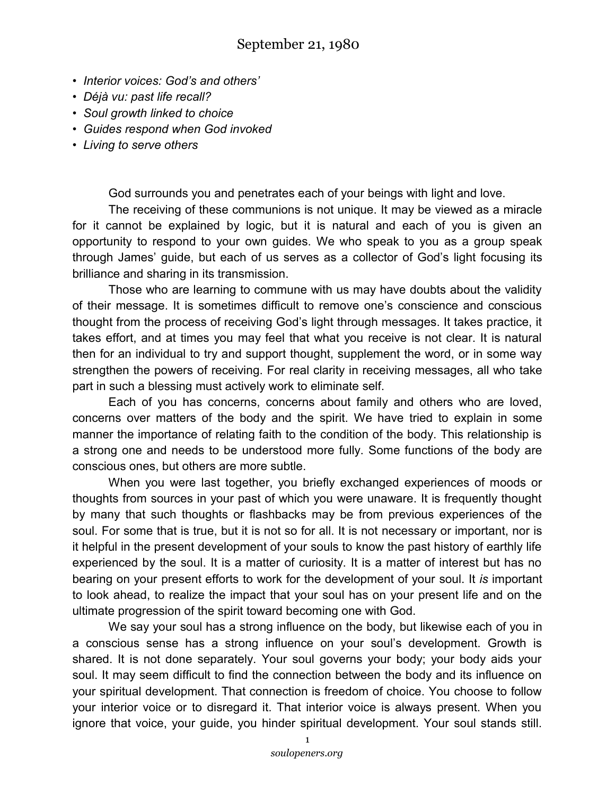- *Interior voices: God's and others'*
- *Déjà vu: past life recall?*
- *Soul growth linked to choice*
- *Guides respond when God invoked*
- *Living to serve others*

God surrounds you and penetrates each of your beings with light and love.

The receiving of these communions is not unique. It may be viewed as a miracle for it cannot be explained by logic, but it is natural and each of you is given an opportunity to respond to your own guides. We who speak to you as a group speak through James' guide, but each of us serves as a collector of God's light focusing its brilliance and sharing in its transmission.

Those who are learning to commune with us may have doubts about the validity of their message. It is sometimes difficult to remove one's conscience and conscious thought from the process of receiving God's light through messages. It takes practice, it takes effort, and at times you may feel that what you receive is not clear. It is natural then for an individual to try and support thought, supplement the word, or in some way strengthen the powers of receiving. For real clarity in receiving messages, all who take part in such a blessing must actively work to eliminate self.

Each of you has concerns, concerns about family and others who are loved, concerns over matters of the body and the spirit. We have tried to explain in some manner the importance of relating faith to the condition of the body. This relationship is a strong one and needs to be understood more fully. Some functions of the body are conscious ones, but others are more subtle.

When you were last together, you briefly exchanged experiences of moods or thoughts from sources in your past of which you were unaware. It is frequently thought by many that such thoughts or flashbacks may be from previous experiences of the soul. For some that is true, but it is not so for all. It is not necessary or important, nor is it helpful in the present development of your souls to know the past history of earthly life experienced by the soul. It is a matter of curiosity. It is a matter of interest but has no bearing on your present efforts to work for the development of your soul. It *is* important to look ahead, to realize the impact that your soul has on your present life and on the ultimate progression of the spirit toward becoming one with God.

We say your soul has a strong influence on the body, but likewise each of you in a conscious sense has a strong influence on your soul's development. Growth is shared. It is not done separately. Your soul governs your body; your body aids your soul. It may seem difficult to find the connection between the body and its influence on your spiritual development. That connection is freedom of choice. You choose to follow your interior voice or to disregard it. That interior voice is always present. When you ignore that voice, your guide, you hinder spiritual development. Your soul stands still.